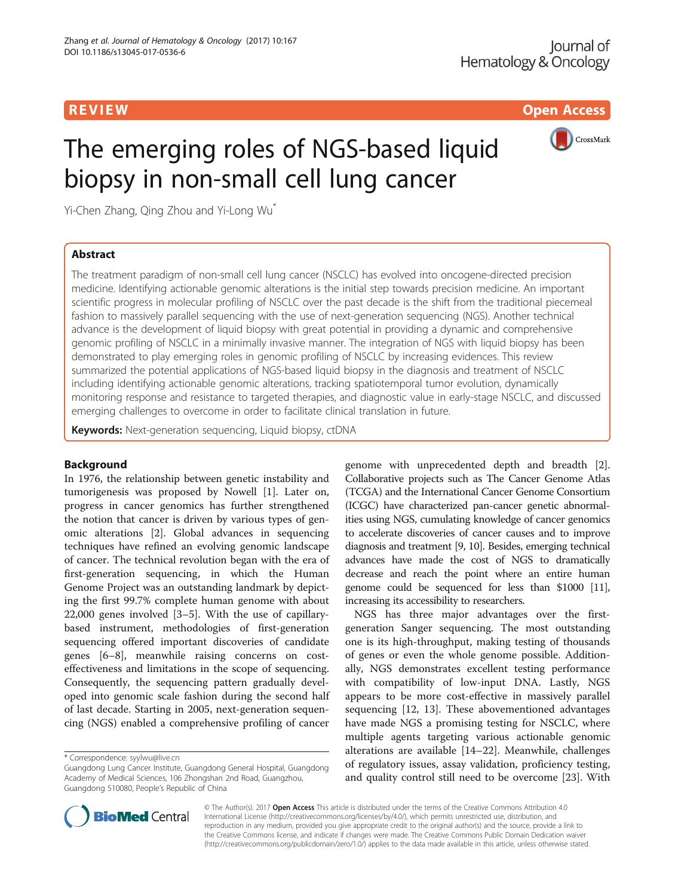R EVI EW Open Access

CrossMark

# The emerging roles of NGS-based liquid biopsy in non-small cell lung cancer

Yi-Chen Zhang, Qing Zhou and Yi-Long Wu\*

# Abstract

The treatment paradigm of non-small cell lung cancer (NSCLC) has evolved into oncogene-directed precision medicine. Identifying actionable genomic alterations is the initial step towards precision medicine. An important scientific progress in molecular profiling of NSCLC over the past decade is the shift from the traditional piecemeal fashion to massively parallel sequencing with the use of next-generation sequencing (NGS). Another technical advance is the development of liquid biopsy with great potential in providing a dynamic and comprehensive genomic profiling of NSCLC in a minimally invasive manner. The integration of NGS with liquid biopsy has been demonstrated to play emerging roles in genomic profiling of NSCLC by increasing evidences. This review summarized the potential applications of NGS-based liquid biopsy in the diagnosis and treatment of NSCLC including identifying actionable genomic alterations, tracking spatiotemporal tumor evolution, dynamically monitoring response and resistance to targeted therapies, and diagnostic value in early-stage NSCLC, and discussed emerging challenges to overcome in order to facilitate clinical translation in future.

Keywords: Next-generation sequencing, Liquid biopsy, ctDNA

## Background

In 1976, the relationship between genetic instability and tumorigenesis was proposed by Nowell [\[1](#page-5-0)]. Later on, progress in cancer genomics has further strengthened the notion that cancer is driven by various types of genomic alterations [\[2](#page-5-0)]. Global advances in sequencing techniques have refined an evolving genomic landscape of cancer. The technical revolution began with the era of first-generation sequencing, in which the Human Genome Project was an outstanding landmark by depicting the first 99.7% complete human genome with about 22,000 genes involved [[3](#page-5-0)–[5\]](#page-5-0). With the use of capillarybased instrument, methodologies of first-generation sequencing offered important discoveries of candidate genes [[6](#page-5-0)–[8](#page-6-0)], meanwhile raising concerns on costeffectiveness and limitations in the scope of sequencing. Consequently, the sequencing pattern gradually developed into genomic scale fashion during the second half of last decade. Starting in 2005, next-generation sequencing (NGS) enabled a comprehensive profiling of cancer

genome with unprecedented depth and breadth [\[2](#page-5-0)]. Collaborative projects such as The Cancer Genome Atlas (TCGA) and the International Cancer Genome Consortium (ICGC) have characterized pan-cancer genetic abnormalities using NGS, cumulating knowledge of cancer genomics to accelerate discoveries of cancer causes and to improve diagnosis and treatment [\[9, 10](#page-6-0)]. Besides, emerging technical advances have made the cost of NGS to dramatically decrease and reach the point where an entire human genome could be sequenced for less than \$1000 [\[11](#page-6-0)], increasing its accessibility to researchers.

NGS has three major advantages over the firstgeneration Sanger sequencing. The most outstanding one is its high-throughput, making testing of thousands of genes or even the whole genome possible. Additionally, NGS demonstrates excellent testing performance with compatibility of low-input DNA. Lastly, NGS appears to be more cost-effective in massively parallel sequencing [[12, 13](#page-6-0)]. These abovementioned advantages have made NGS a promising testing for NSCLC, where multiple agents targeting various actionable genomic alterations are available [\[14](#page-6-0)–[22\]](#page-6-0). Meanwhile, challenges of regulatory issues, assay validation, proficiency testing, and quality control still need to be overcome [\[23\]](#page-6-0). With



© The Author(s). 2017 **Open Access** This article is distributed under the terms of the Creative Commons Attribution 4.0 International License [\(http://creativecommons.org/licenses/by/4.0/](http://creativecommons.org/licenses/by/4.0/)), which permits unrestricted use, distribution, and reproduction in any medium, provided you give appropriate credit to the original author(s) and the source, provide a link to the Creative Commons license, and indicate if changes were made. The Creative Commons Public Domain Dedication waiver [\(http://creativecommons.org/publicdomain/zero/1.0/](http://creativecommons.org/publicdomain/zero/1.0/)) applies to the data made available in this article, unless otherwise stated.

<sup>\*</sup> Correspondence: [syylwu@live.cn](mailto:syylwu@live.cn)

Guangdong Lung Cancer Institute, Guangdong General Hospital, Guangdong Academy of Medical Sciences, 106 Zhongshan 2nd Road, Guangzhou, Guangdong 510080, People's Republic of China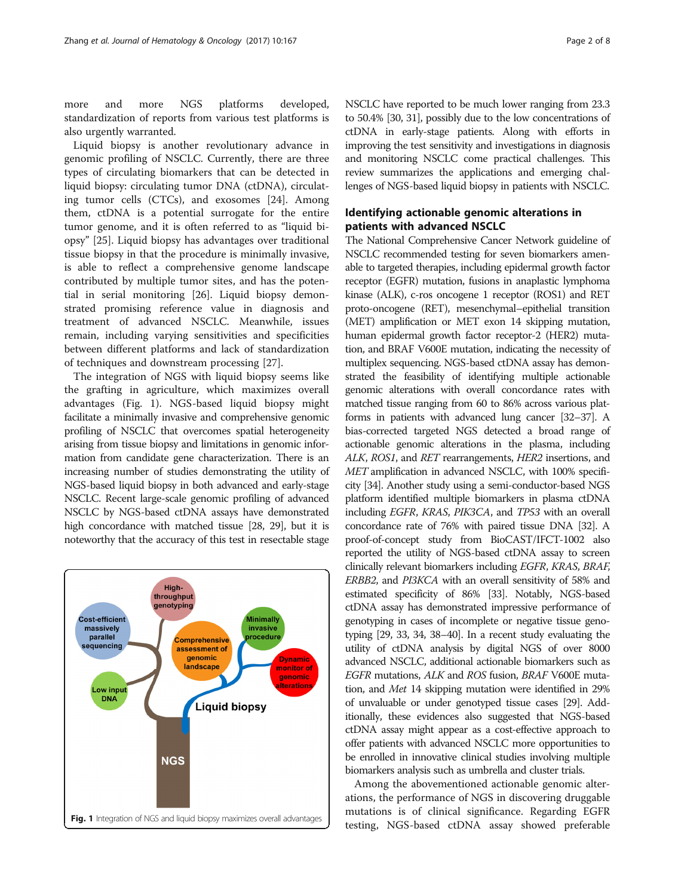more and more NGS platforms developed, standardization of reports from various test platforms is also urgently warranted.

Liquid biopsy is another revolutionary advance in genomic profiling of NSCLC. Currently, there are three types of circulating biomarkers that can be detected in liquid biopsy: circulating tumor DNA (ctDNA), circulating tumor cells (CTCs), and exosomes [[24\]](#page-6-0). Among them, ctDNA is a potential surrogate for the entire tumor genome, and it is often referred to as "liquid biopsy" [\[25](#page-6-0)]. Liquid biopsy has advantages over traditional tissue biopsy in that the procedure is minimally invasive, is able to reflect a comprehensive genome landscape contributed by multiple tumor sites, and has the potential in serial monitoring [\[26](#page-6-0)]. Liquid biopsy demonstrated promising reference value in diagnosis and treatment of advanced NSCLC. Meanwhile, issues remain, including varying sensitivities and specificities between different platforms and lack of standardization of techniques and downstream processing [[27\]](#page-6-0).

The integration of NGS with liquid biopsy seems like the grafting in agriculture, which maximizes overall advantages (Fig. 1). NGS-based liquid biopsy might facilitate a minimally invasive and comprehensive genomic profiling of NSCLC that overcomes spatial heterogeneity arising from tissue biopsy and limitations in genomic information from candidate gene characterization. There is an increasing number of studies demonstrating the utility of NGS-based liquid biopsy in both advanced and early-stage NSCLC. Recent large-scale genomic profiling of advanced NSCLC by NGS-based ctDNA assays have demonstrated high concordance with matched tissue [\[28, 29](#page-6-0)], but it is noteworthy that the accuracy of this test in resectable stage



NSCLC have reported to be much lower ranging from 23.3 to 50.4% [\[30, 31](#page-6-0)], possibly due to the low concentrations of ctDNA in early-stage patients. Along with efforts in improving the test sensitivity and investigations in diagnosis and monitoring NSCLC come practical challenges. This review summarizes the applications and emerging challenges of NGS-based liquid biopsy in patients with NSCLC.

# Identifying actionable genomic alterations in patients with advanced NSCLC

The National Comprehensive Cancer Network guideline of NSCLC recommended testing for seven biomarkers amenable to targeted therapies, including epidermal growth factor receptor (EGFR) mutation, fusions in anaplastic lymphoma kinase (ALK), c-ros oncogene 1 receptor (ROS1) and RET proto-oncogene (RET), mesenchymal–epithelial transition (MET) amplification or MET exon 14 skipping mutation, human epidermal growth factor receptor-2 (HER2) mutation, and BRAF V600E mutation, indicating the necessity of multiplex sequencing. NGS-based ctDNA assay has demonstrated the feasibility of identifying multiple actionable genomic alterations with overall concordance rates with matched tissue ranging from 60 to 86% across various platforms in patients with advanced lung cancer [[32](#page-6-0)–[37\]](#page-6-0). A bias-corrected targeted NGS detected a broad range of actionable genomic alterations in the plasma, including ALK, ROS1, and RET rearrangements, HER2 insertions, and MET amplification in advanced NSCLC, with 100% specificity [\[34](#page-6-0)]. Another study using a semi-conductor-based NGS platform identified multiple biomarkers in plasma ctDNA including EGFR, KRAS, PIK3CA, and TP53 with an overall concordance rate of 76% with paired tissue DNA [\[32](#page-6-0)]. A proof-of-concept study from BioCAST/IFCT-1002 also reported the utility of NGS-based ctDNA assay to screen clinically relevant biomarkers including EGFR, KRAS, BRAF, ERBB2, and PI3KCA with an overall sensitivity of 58% and estimated specificity of 86% [[33\]](#page-6-0). Notably, NGS-based ctDNA assay has demonstrated impressive performance of genotyping in cases of incomplete or negative tissue genotyping [\[29](#page-6-0), [33](#page-6-0), [34](#page-6-0), [38](#page-6-0)–[40\]](#page-6-0). In a recent study evaluating the utility of ctDNA analysis by digital NGS of over 8000 advanced NSCLC, additional actionable biomarkers such as EGFR mutations, ALK and ROS fusion, BRAF V600E mutation, and Met 14 skipping mutation were identified in 29% of unvaluable or under genotyped tissue cases [[29](#page-6-0)]. Additionally, these evidences also suggested that NGS-based ctDNA assay might appear as a cost-effective approach to offer patients with advanced NSCLC more opportunities to be enrolled in innovative clinical studies involving multiple biomarkers analysis such as umbrella and cluster trials.

Among the abovementioned actionable genomic alterations, the performance of NGS in discovering druggable mutations is of clinical significance. Regarding EGFR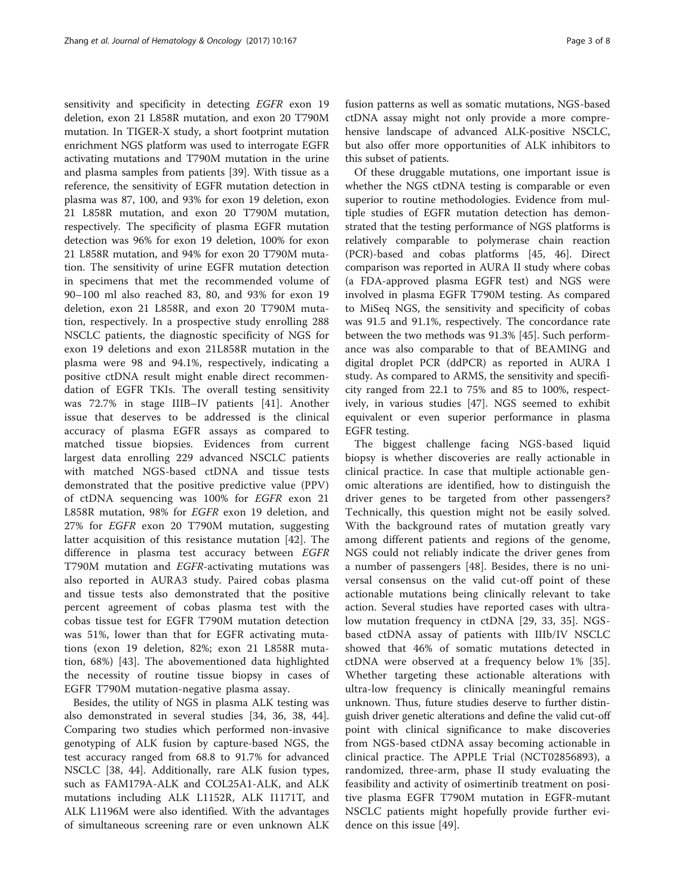sensitivity and specificity in detecting EGFR exon 19 deletion, exon 21 L858R mutation, and exon 20 T790M mutation. In TIGER-X study, a short footprint mutation enrichment NGS platform was used to interrogate EGFR activating mutations and T790M mutation in the urine and plasma samples from patients [\[39\]](#page-6-0). With tissue as a reference, the sensitivity of EGFR mutation detection in plasma was 87, 100, and 93% for exon 19 deletion, exon 21 L858R mutation, and exon 20 T790M mutation, respectively. The specificity of plasma EGFR mutation detection was 96% for exon 19 deletion, 100% for exon 21 L858R mutation, and 94% for exon 20 T790M mutation. The sensitivity of urine EGFR mutation detection in specimens that met the recommended volume of 90–100 ml also reached 83, 80, and 93% for exon 19 deletion, exon 21 L858R, and exon 20 T790M mutation, respectively. In a prospective study enrolling 288 NSCLC patients, the diagnostic specificity of NGS for exon 19 deletions and exon 21L858R mutation in the plasma were 98 and 94.1%, respectively, indicating a positive ctDNA result might enable direct recommendation of EGFR TKIs. The overall testing sensitivity was 72.7% in stage IIIB–IV patients [[41\]](#page-6-0). Another issue that deserves to be addressed is the clinical accuracy of plasma EGFR assays as compared to matched tissue biopsies. Evidences from current largest data enrolling 229 advanced NSCLC patients with matched NGS-based ctDNA and tissue tests demonstrated that the positive predictive value (PPV) of ctDNA sequencing was 100% for EGFR exon 21 L858R mutation, 98% for EGFR exon 19 deletion, and 27% for EGFR exon 20 T790M mutation, suggesting latter acquisition of this resistance mutation [[42\]](#page-6-0). The difference in plasma test accuracy between EGFR T790M mutation and EGFR-activating mutations was also reported in AURA3 study. Paired cobas plasma and tissue tests also demonstrated that the positive percent agreement of cobas plasma test with the cobas tissue test for EGFR T790M mutation detection was 51%, lower than that for EGFR activating mutations (exon 19 deletion, 82%; exon 21 L858R mutation, 68%) [[43\]](#page-6-0). The abovementioned data highlighted the necessity of routine tissue biopsy in cases of EGFR T790M mutation-negative plasma assay.

Besides, the utility of NGS in plasma ALK testing was also demonstrated in several studies [\[34, 36](#page-6-0), [38, 44](#page-6-0)]. Comparing two studies which performed non-invasive genotyping of ALK fusion by capture-based NGS, the test accuracy ranged from 68.8 to 91.7% for advanced NSCLC [\[38](#page-6-0), [44](#page-6-0)]. Additionally, rare ALK fusion types, such as FAM179A-ALK and COL25A1-ALK, and ALK mutations including ALK L1152R, ALK I1171T, and ALK L1196M were also identified. With the advantages of simultaneous screening rare or even unknown ALK fusion patterns as well as somatic mutations, NGS-based ctDNA assay might not only provide a more comprehensive landscape of advanced ALK-positive NSCLC, but also offer more opportunities of ALK inhibitors to this subset of patients.

Of these druggable mutations, one important issue is whether the NGS ctDNA testing is comparable or even superior to routine methodologies. Evidence from multiple studies of EGFR mutation detection has demonstrated that the testing performance of NGS platforms is relatively comparable to polymerase chain reaction (PCR)-based and cobas platforms [\[45](#page-6-0), [46](#page-6-0)]. Direct comparison was reported in AURA II study where cobas (a FDA-approved plasma EGFR test) and NGS were involved in plasma EGFR T790M testing. As compared to MiSeq NGS, the sensitivity and specificity of cobas was 91.5 and 91.1%, respectively. The concordance rate between the two methods was 91.3% [[45\]](#page-6-0). Such performance was also comparable to that of BEAMING and digital droplet PCR (ddPCR) as reported in AURA I study. As compared to ARMS, the sensitivity and specificity ranged from 22.1 to 75% and 85 to 100%, respectively, in various studies [[47](#page-6-0)]. NGS seemed to exhibit equivalent or even superior performance in plasma EGFR testing.

The biggest challenge facing NGS-based liquid biopsy is whether discoveries are really actionable in clinical practice. In case that multiple actionable genomic alterations are identified, how to distinguish the driver genes to be targeted from other passengers? Technically, this question might not be easily solved. With the background rates of mutation greatly vary among different patients and regions of the genome, NGS could not reliably indicate the driver genes from a number of passengers [[48](#page-6-0)]. Besides, there is no universal consensus on the valid cut-off point of these actionable mutations being clinically relevant to take action. Several studies have reported cases with ultralow mutation frequency in ctDNA [\[29, 33](#page-6-0), [35\]](#page-6-0). NGSbased ctDNA assay of patients with IIIb/IV NSCLC showed that 46% of somatic mutations detected in ctDNA were observed at a frequency below 1% [\[35](#page-6-0)]. Whether targeting these actionable alterations with ultra-low frequency is clinically meaningful remains unknown. Thus, future studies deserve to further distinguish driver genetic alterations and define the valid cut-off point with clinical significance to make discoveries from NGS-based ctDNA assay becoming actionable in clinical practice. The APPLE Trial (NCT02856893), a randomized, three-arm, phase II study evaluating the feasibility and activity of osimertinib treatment on positive plasma EGFR T790M mutation in EGFR-mutant NSCLC patients might hopefully provide further evidence on this issue [\[49](#page-6-0)].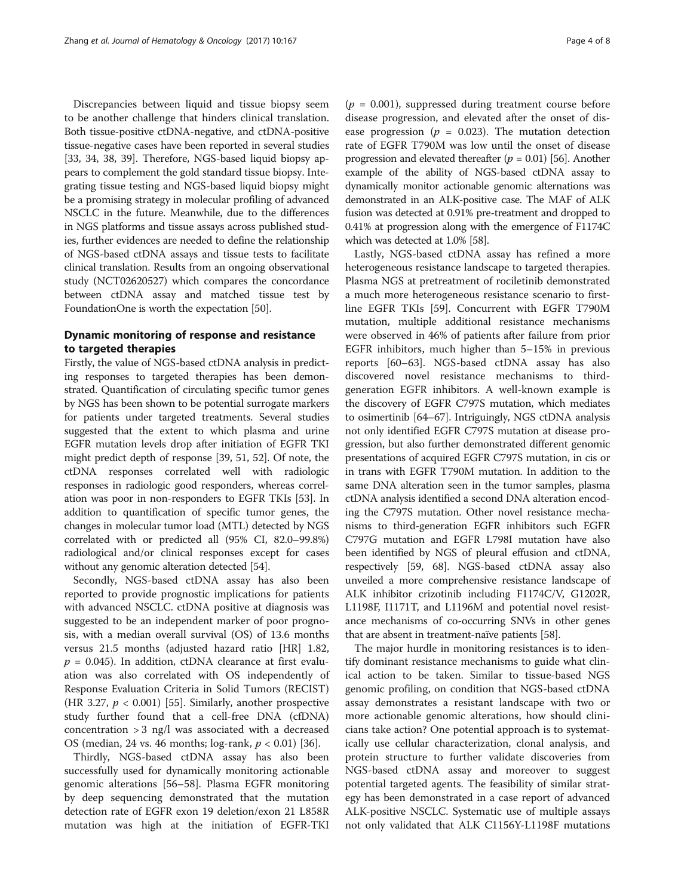Discrepancies between liquid and tissue biopsy seem to be another challenge that hinders clinical translation. Both tissue-positive ctDNA-negative, and ctDNA-positive tissue-negative cases have been reported in several studies [[33](#page-6-0), [34](#page-6-0), [38, 39\]](#page-6-0). Therefore, NGS-based liquid biopsy appears to complement the gold standard tissue biopsy. Integrating tissue testing and NGS-based liquid biopsy might be a promising strategy in molecular profiling of advanced NSCLC in the future. Meanwhile, due to the differences in NGS platforms and tissue assays across published studies, further evidences are needed to define the relationship of NGS-based ctDNA assays and tissue tests to facilitate clinical translation. Results from an ongoing observational study (NCT02620527) which compares the concordance between ctDNA assay and matched tissue test by FoundationOne is worth the expectation [[50](#page-6-0)].

# Dynamic monitoring of response and resistance to targeted therapies

Firstly, the value of NGS-based ctDNA analysis in predicting responses to targeted therapies has been demonstrated. Quantification of circulating specific tumor genes by NGS has been shown to be potential surrogate markers for patients under targeted treatments. Several studies suggested that the extent to which plasma and urine EGFR mutation levels drop after initiation of EGFR TKI might predict depth of response [\[39, 51, 52\]](#page-6-0). Of note, the ctDNA responses correlated well with radiologic responses in radiologic good responders, whereas correlation was poor in non-responders to EGFR TKIs [[53](#page-7-0)]. In addition to quantification of specific tumor genes, the changes in molecular tumor load (MTL) detected by NGS correlated with or predicted all (95% CI, 82.0–99.8%) radiological and/or clinical responses except for cases without any genomic alteration detected [[54](#page-7-0)].

Secondly, NGS-based ctDNA assay has also been reported to provide prognostic implications for patients with advanced NSCLC. ctDNA positive at diagnosis was suggested to be an independent marker of poor prognosis, with a median overall survival (OS) of 13.6 months versus 21.5 months (adjusted hazard ratio [HR] 1.82,  $p = 0.045$ ). In addition, ctDNA clearance at first evaluation was also correlated with OS independently of Response Evaluation Criteria in Solid Tumors (RECIST) (HR 3.27,  $p < 0.001$ ) [[55\]](#page-7-0). Similarly, another prospective study further found that a cell-free DNA (cfDNA) concentration  $> 3$  ng/l was associated with a decreased OS (median, 24 vs. 46 months; log-rank,  $p < 0.01$ ) [[36\]](#page-6-0).

Thirdly, NGS-based ctDNA assay has also been successfully used for dynamically monitoring actionable genomic alterations [[56](#page-7-0)–[58](#page-7-0)]. Plasma EGFR monitoring by deep sequencing demonstrated that the mutation detection rate of EGFR exon 19 deletion/exon 21 L858R mutation was high at the initiation of EGFR-TKI

 $(p = 0.001)$ , suppressed during treatment course before disease progression, and elevated after the onset of disease progression ( $p = 0.023$ ). The mutation detection rate of EGFR T790M was low until the onset of disease progression and elevated thereafter  $(p = 0.01)$  [[56\]](#page-7-0). Another example of the ability of NGS-based ctDNA assay to dynamically monitor actionable genomic alternations was demonstrated in an ALK-positive case. The MAF of ALK fusion was detected at 0.91% pre-treatment and dropped to 0.41% at progression along with the emergence of F1174C which was detected at 1.0% [\[58\]](#page-7-0).

Lastly, NGS-based ctDNA assay has refined a more heterogeneous resistance landscape to targeted therapies. Plasma NGS at pretreatment of rociletinib demonstrated a much more heterogeneous resistance scenario to firstline EGFR TKIs [[59\]](#page-7-0). Concurrent with EGFR T790M mutation, multiple additional resistance mechanisms were observed in 46% of patients after failure from prior EGFR inhibitors, much higher than 5–15% in previous reports [\[60](#page-7-0)–[63](#page-7-0)]. NGS-based ctDNA assay has also discovered novel resistance mechanisms to thirdgeneration EGFR inhibitors. A well-known example is the discovery of EGFR C797S mutation, which mediates to osimertinib [[64](#page-7-0)–[67\]](#page-7-0). Intriguingly, NGS ctDNA analysis not only identified EGFR C797S mutation at disease progression, but also further demonstrated different genomic presentations of acquired EGFR C797S mutation, in cis or in trans with EGFR T790M mutation. In addition to the same DNA alteration seen in the tumor samples, plasma ctDNA analysis identified a second DNA alteration encoding the C797S mutation. Other novel resistance mechanisms to third-generation EGFR inhibitors such EGFR C797G mutation and EGFR L798I mutation have also been identified by NGS of pleural effusion and ctDNA, respectively [\[59, 68](#page-7-0)]. NGS-based ctDNA assay also unveiled a more comprehensive resistance landscape of ALK inhibitor crizotinib including F1174C/V, G1202R, L1198F, I1171T, and L1196M and potential novel resistance mechanisms of co-occurring SNVs in other genes that are absent in treatment-naïve patients [[58\]](#page-7-0).

The major hurdle in monitoring resistances is to identify dominant resistance mechanisms to guide what clinical action to be taken. Similar to tissue-based NGS genomic profiling, on condition that NGS-based ctDNA assay demonstrates a resistant landscape with two or more actionable genomic alterations, how should clinicians take action? One potential approach is to systematically use cellular characterization, clonal analysis, and protein structure to further validate discoveries from NGS-based ctDNA assay and moreover to suggest potential targeted agents. The feasibility of similar strategy has been demonstrated in a case report of advanced ALK-positive NSCLC. Systematic use of multiple assays not only validated that ALK C1156Y-L1198F mutations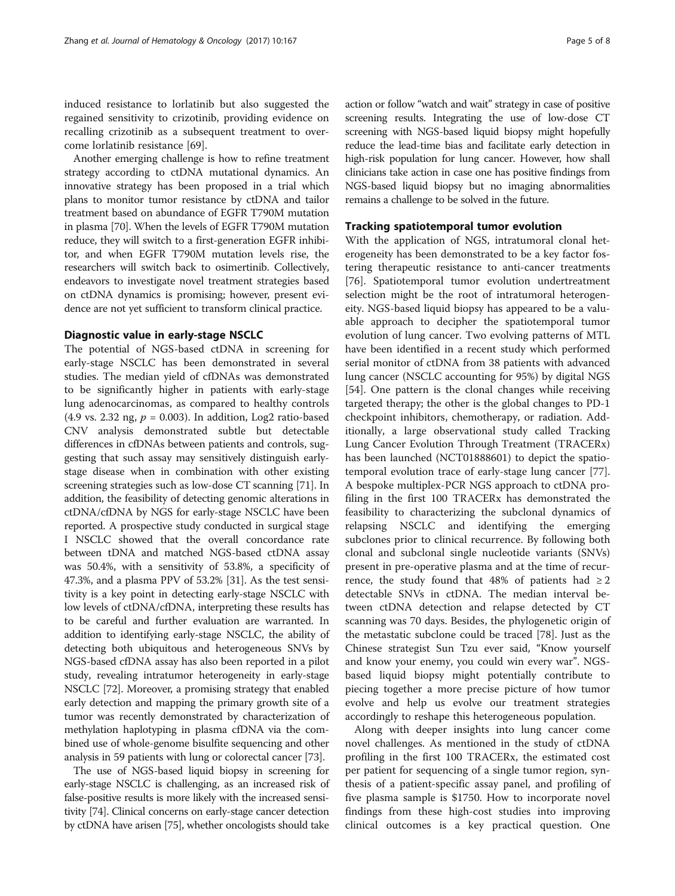induced resistance to lorlatinib but also suggested the regained sensitivity to crizotinib, providing evidence on recalling crizotinib as a subsequent treatment to overcome lorlatinib resistance [[69\]](#page-7-0).

Another emerging challenge is how to refine treatment strategy according to ctDNA mutational dynamics. An innovative strategy has been proposed in a trial which plans to monitor tumor resistance by ctDNA and tailor treatment based on abundance of EGFR T790M mutation in plasma [[70](#page-7-0)]. When the levels of EGFR T790M mutation reduce, they will switch to a first-generation EGFR inhibitor, and when EGFR T790M mutation levels rise, the researchers will switch back to osimertinib. Collectively, endeavors to investigate novel treatment strategies based on ctDNA dynamics is promising; however, present evidence are not yet sufficient to transform clinical practice.

## Diagnostic value in early-stage NSCLC

The potential of NGS-based ctDNA in screening for early-stage NSCLC has been demonstrated in several studies. The median yield of cfDNAs was demonstrated to be significantly higher in patients with early-stage lung adenocarcinomas, as compared to healthy controls  $(4.9 \text{ vs. } 2.32 \text{ ng}, p = 0.003)$ . In addition, Log2 ratio-based CNV analysis demonstrated subtle but detectable differences in cfDNAs between patients and controls, suggesting that such assay may sensitively distinguish earlystage disease when in combination with other existing screening strategies such as low-dose CT scanning [\[71](#page-7-0)]. In addition, the feasibility of detecting genomic alterations in ctDNA/cfDNA by NGS for early-stage NSCLC have been reported. A prospective study conducted in surgical stage I NSCLC showed that the overall concordance rate between tDNA and matched NGS-based ctDNA assay was 50.4%, with a sensitivity of 53.8%, a specificity of 47.3%, and a plasma PPV of 53.2% [[31](#page-6-0)]. As the test sensitivity is a key point in detecting early-stage NSCLC with low levels of ctDNA/cfDNA, interpreting these results has to be careful and further evaluation are warranted. In addition to identifying early-stage NSCLC, the ability of detecting both ubiquitous and heterogeneous SNVs by NGS-based cfDNA assay has also been reported in a pilot study, revealing intratumor heterogeneity in early-stage NSCLC [[72\]](#page-7-0). Moreover, a promising strategy that enabled early detection and mapping the primary growth site of a tumor was recently demonstrated by characterization of methylation haplotyping in plasma cfDNA via the combined use of whole-genome bisulfite sequencing and other analysis in 59 patients with lung or colorectal cancer [\[73\]](#page-7-0).

The use of NGS-based liquid biopsy in screening for early-stage NSCLC is challenging, as an increased risk of false-positive results is more likely with the increased sensitivity [[74](#page-7-0)]. Clinical concerns on early-stage cancer detection by ctDNA have arisen [\[75](#page-7-0)], whether oncologists should take action or follow "watch and wait" strategy in case of positive screening results. Integrating the use of low-dose CT screening with NGS-based liquid biopsy might hopefully reduce the lead-time bias and facilitate early detection in high-risk population for lung cancer. However, how shall clinicians take action in case one has positive findings from NGS-based liquid biopsy but no imaging abnormalities remains a challenge to be solved in the future.

## Tracking spatiotemporal tumor evolution

With the application of NGS, intratumoral clonal heterogeneity has been demonstrated to be a key factor fostering therapeutic resistance to anti-cancer treatments [[76\]](#page-7-0). Spatiotemporal tumor evolution undertreatment selection might be the root of intratumoral heterogeneity. NGS-based liquid biopsy has appeared to be a valuable approach to decipher the spatiotemporal tumor evolution of lung cancer. Two evolving patterns of MTL have been identified in a recent study which performed serial monitor of ctDNA from 38 patients with advanced lung cancer (NSCLC accounting for 95%) by digital NGS [[54\]](#page-7-0). One pattern is the clonal changes while receiving targeted therapy; the other is the global changes to PD-1 checkpoint inhibitors, chemotherapy, or radiation. Additionally, a large observational study called Tracking Lung Cancer Evolution Through Treatment (TRACERx) has been launched (NCT01888601) to depict the spatiotemporal evolution trace of early-stage lung cancer [\[77](#page-7-0)]. A bespoke multiplex-PCR NGS approach to ctDNA profiling in the first 100 TRACERx has demonstrated the feasibility to characterizing the subclonal dynamics of relapsing NSCLC and identifying the emerging subclones prior to clinical recurrence. By following both clonal and subclonal single nucleotide variants (SNVs) present in pre-operative plasma and at the time of recurrence, the study found that 48% of patients had  $\geq 2$ detectable SNVs in ctDNA. The median interval between ctDNA detection and relapse detected by CT scanning was 70 days. Besides, the phylogenetic origin of the metastatic subclone could be traced [[78](#page-7-0)]. Just as the Chinese strategist Sun Tzu ever said, "Know yourself and know your enemy, you could win every war". NGSbased liquid biopsy might potentially contribute to piecing together a more precise picture of how tumor evolve and help us evolve our treatment strategies accordingly to reshape this heterogeneous population.

Along with deeper insights into lung cancer come novel challenges. As mentioned in the study of ctDNA profiling in the first 100 TRACERx, the estimated cost per patient for sequencing of a single tumor region, synthesis of a patient-specific assay panel, and profiling of five plasma sample is \$1750. How to incorporate novel findings from these high-cost studies into improving clinical outcomes is a key practical question. One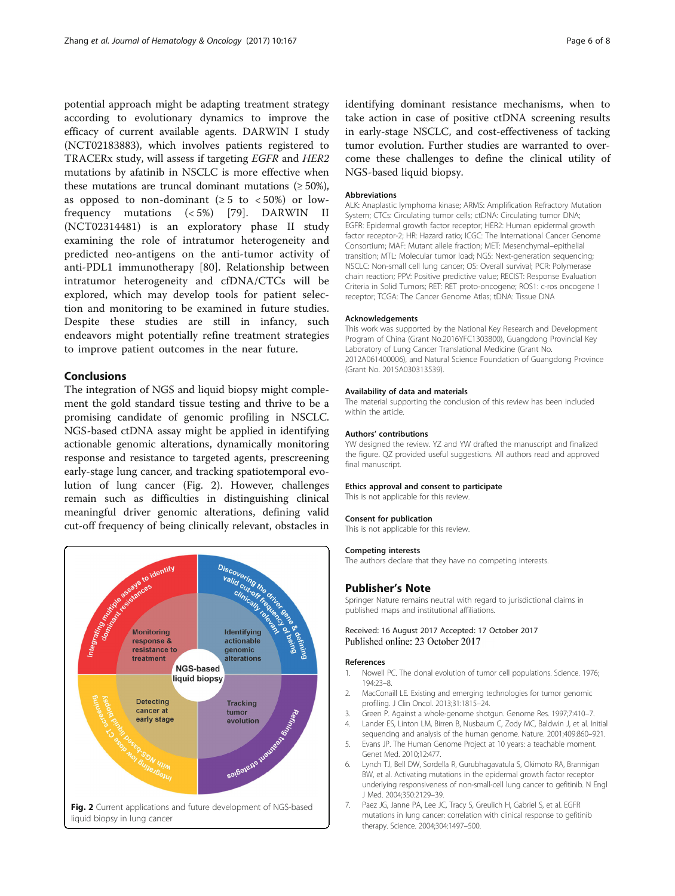<span id="page-5-0"></span>potential approach might be adapting treatment strategy according to evolutionary dynamics to improve the efficacy of current available agents. DARWIN I study (NCT02183883), which involves patients registered to TRACERx study, will assess if targeting EGFR and HER2 mutations by afatinib in NSCLC is more effective when these mutations are truncal dominant mutations  $(≥ 50%),$ as opposed to non-dominant ( $\geq 5$  to  $\lt 50\%$ ) or lowfrequency mutations (< 5%) [[79\]](#page-7-0). DARWIN II (NCT02314481) is an exploratory phase II study examining the role of intratumor heterogeneity and predicted neo-antigens on the anti-tumor activity of anti-PDL1 immunotherapy [\[80](#page-7-0)]. Relationship between intratumor heterogeneity and cfDNA/CTCs will be explored, which may develop tools for patient selection and monitoring to be examined in future studies. Despite these studies are still in infancy, such endeavors might potentially refine treatment strategies to improve patient outcomes in the near future.

## Conclusions

The integration of NGS and liquid biopsy might complement the gold standard tissue testing and thrive to be a promising candidate of genomic profiling in NSCLC. NGS-based ctDNA assay might be applied in identifying actionable genomic alterations, dynamically monitoring response and resistance to targeted agents, prescreening early-stage lung cancer, and tracking spatiotemporal evolution of lung cancer (Fig. 2). However, challenges remain such as difficulties in distinguishing clinical meaningful driver genomic alterations, defining valid cut-off frequency of being clinically relevant, obstacles in



identifying dominant resistance mechanisms, when to take action in case of positive ctDNA screening results in early-stage NSCLC, and cost-effectiveness of tacking tumor evolution. Further studies are warranted to overcome these challenges to define the clinical utility of NGS-based liquid biopsy.

#### **Abbreviations**

ALK: Anaplastic lymphoma kinase; ARMS: Amplification Refractory Mutation System; CTCs: Circulating tumor cells; ctDNA: Circulating tumor DNA; EGFR: Epidermal growth factor receptor; HER2: Human epidermal growth factor receptor-2; HR: Hazard ratio; ICGC: The International Cancer Genome Consortium; MAF: Mutant allele fraction; MET: Mesenchymal–epithelial transition; MTL: Molecular tumor load; NGS: Next-generation sequencing; NSCLC: Non-small cell lung cancer; OS: Overall survival; PCR: Polymerase chain reaction; PPV: Positive predictive value; RECIST: Response Evaluation Criteria in Solid Tumors; RET: RET proto-oncogene; ROS1: c-ros oncogene 1 receptor; TCGA: The Cancer Genome Atlas; tDNA: Tissue DNA

## Acknowledgements

This work was supported by the National Key Research and Development Program of China (Grant No.2016YFC1303800), Guangdong Provincial Key Laboratory of Lung Cancer Translational Medicine (Grant No. 2012A061400006), and Natural Science Foundation of Guangdong Province (Grant No. 2015A030313539).

#### Availability of data and materials

The material supporting the conclusion of this review has been included within the article.

#### Authors' contributions

YW designed the review. YZ and YW drafted the manuscript and finalized the figure. QZ provided useful suggestions. All authors read and approved final manuscript.

## Ethics approval and consent to participate

This is not applicable for this review.

#### Consent for publication

This is not applicable for this review.

#### Competing interests

The authors declare that they have no competing interests.

#### Publisher's Note

Springer Nature remains neutral with regard to jurisdictional claims in published maps and institutional affiliations.

## Received: 16 August 2017 Accepted: 17 October 2017 Published online: 23 October 2017

#### References

- 1. Nowell PC. The clonal evolution of tumor cell populations. Science. 1976; 194:23–8.
- 2. MacConaill LE. Existing and emerging technologies for tumor genomic profiling. J Clin Oncol. 2013;31:1815–24.
- 3. Green P. Against a whole-genome shotgun. Genome Res. 1997;7:410–7.
- 4. Lander ES, Linton LM, Birren B, Nusbaum C, Zody MC, Baldwin J, et al. Initial sequencing and analysis of the human genome. Nature. 2001;409:860–921.
- 5. Evans JP. The Human Genome Project at 10 years: a teachable moment. Genet Med. 2010;12:477.
- 6. Lynch TJ, Bell DW, Sordella R, Gurubhagavatula S, Okimoto RA, Brannigan BW, et al. Activating mutations in the epidermal growth factor receptor underlying responsiveness of non-small-cell lung cancer to gefitinib. N Engl J Med. 2004;350:2129–39.
- 7. Paez JG, Janne PA, Lee JC, Tracy S, Greulich H, Gabriel S, et al. EGFR mutations in lung cancer: correlation with clinical response to gefitinib therapy. Science. 2004;304:1497–500.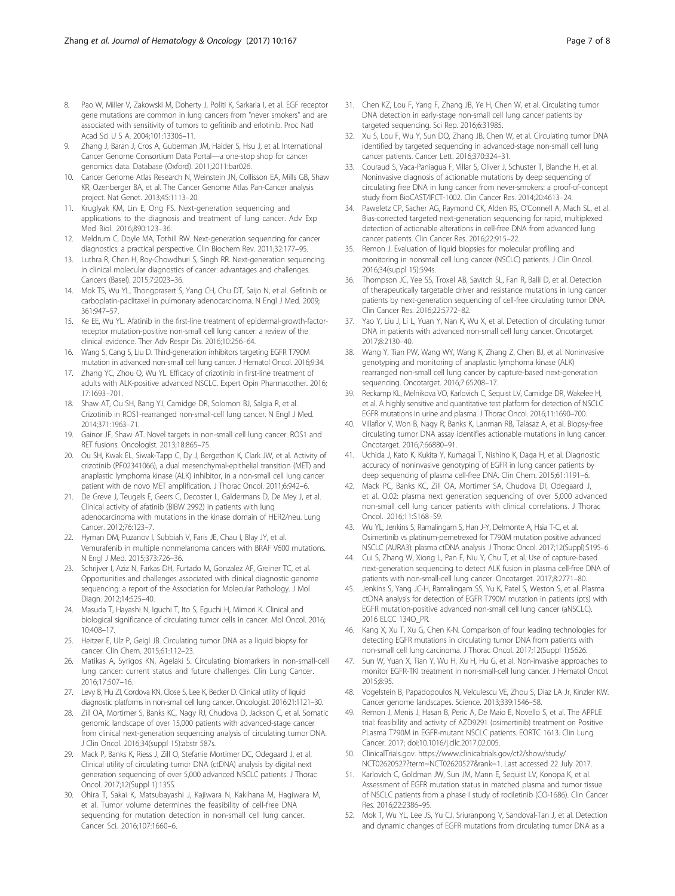- <span id="page-6-0"></span>8. Pao W, Miller V, Zakowski M, Doherty J, Politi K, Sarkaria I, et al. EGF receptor gene mutations are common in lung cancers from "never smokers" and are associated with sensitivity of tumors to gefitinib and erlotinib. Proc Natl Acad Sci U S A. 2004;101:13306–11.
- 9. Zhang J, Baran J, Cros A, Guberman JM, Haider S, Hsu J, et al. International Cancer Genome Consortium Data Portal—a one-stop shop for cancer genomics data. Database (Oxford). 2011;2011:bar026.
- 10. Cancer Genome Atlas Research N, Weinstein JN, Collisson EA, Mills GB, Shaw KR, Ozenberger BA, et al. The Cancer Genome Atlas Pan-Cancer analysis project. Nat Genet. 2013;45:1113–20.
- 11. Kruglyak KM, Lin E, Ong FS. Next-generation sequencing and applications to the diagnosis and treatment of lung cancer. Adv Exp Med Biol. 2016;890:123–36.
- 12. Meldrum C, Doyle MA, Tothill RW. Next-generation sequencing for cancer diagnostics: a practical perspective. Clin Biochem Rev. 2011;32:177–95.
- 13. Luthra R, Chen H, Roy-Chowdhuri S, Singh RR. Next-generation sequencing in clinical molecular diagnostics of cancer: advantages and challenges. Cancers (Basel). 2015;7:2023–36.
- 14. Mok TS, Wu YL, Thongprasert S, Yang CH, Chu DT, Saijo N, et al. Gefitinib or carboplatin-paclitaxel in pulmonary adenocarcinoma. N Engl J Med. 2009; 361:947–57.
- 15. Ke EE, Wu YL. Afatinib in the first-line treatment of epidermal-growth-factorreceptor mutation-positive non-small cell lung cancer: a review of the clinical evidence. Ther Adv Respir Dis. 2016;10:256–64.
- 16. Wang S, Cang S, Liu D. Third-generation inhibitors targeting EGFR T790M mutation in advanced non-small cell lung cancer. J Hematol Oncol. 2016;9:34.
- 17. Zhang YC, Zhou Q, Wu YL. Efficacy of crizotinib in first-line treatment of adults with ALK-positive advanced NSCLC. Expert Opin Pharmacother. 2016; 17:1693–701.
- 18. Shaw AT, Ou SH, Bang YJ, Camidge DR, Solomon BJ, Salgia R, et al. Crizotinib in ROS1-rearranged non-small-cell lung cancer. N Engl J Med. 2014;371:1963–71.
- 19. Gainor JF, Shaw AT. Novel targets in non-small cell lung cancer: ROS1 and RET fusions. Oncologist. 2013;18:865–75.
- 20. Ou SH, Kwak EL, Siwak-Tapp C, Dy J, Bergethon K, Clark JW, et al. Activity of crizotinib (PF02341066), a dual mesenchymal-epithelial transition (MET) and anaplastic lymphoma kinase (ALK) inhibitor, in a non-small cell lung cancer patient with de novo MET amplification. J Thorac Oncol. 2011;6:942–6.
- 21. De Greve J, Teugels E, Geers C, Decoster L, Galdermans D, De Mey J, et al. Clinical activity of afatinib (BIBW 2992) in patients with lung adenocarcinoma with mutations in the kinase domain of HER2/neu. Lung Cancer. 2012;76:123–7.
- 22. Hyman DM, Puzanov I, Subbiah V, Faris JE, Chau I, Blay JY, et al. Vemurafenib in multiple nonmelanoma cancers with BRAF V600 mutations. N Engl J Med. 2015;373:726–36.
- 23. Schrijver I, Aziz N, Farkas DH, Furtado M, Gonzalez AF, Greiner TC, et al. Opportunities and challenges associated with clinical diagnostic genome sequencing: a report of the Association for Molecular Pathology. J Mol Diagn. 2012;14:525–40.
- 24. Masuda T, Hayashi N, Iguchi T, Ito S, Eguchi H, Mimori K. Clinical and biological significance of circulating tumor cells in cancer. Mol Oncol. 2016; 10:408–17.
- 25. Heitzer E, Ulz P, Geigl JB. Circulating tumor DNA as a liquid biopsy for cancer. Clin Chem. 2015;61:112–23.
- 26. Matikas A, Syrigos KN, Agelaki S. Circulating biomarkers in non-small-cell lung cancer: current status and future challenges. Clin Lung Cancer. 2016;17:507–16.
- 27. Levy B, Hu ZI, Cordova KN, Close S, Lee K, Becker D. Clinical utility of liquid diagnostic platforms in non-small cell lung cancer. Oncologist. 2016;21:1121–30.
- 28. Zill OA, Mortimer S, Banks KC, Nagy RJ, Chudova D, Jackson C, et al. Somatic genomic landscape of over 15,000 patients with advanced-stage cancer from clinical next-generation sequencing analysis of circulating tumor DNA. J Clin Oncol. 2016;34(suppl 15):abstr 587s.
- 29. Mack P, Banks K, Riess J, Zill O, Stefanie Mortimer DC, Odegaard J, et al. Clinical utility of circulating tumor DNA (ctDNA) analysis by digital next generation sequencing of over 5,000 advanced NSCLC patients. J Thorac Oncol. 2017;12(Suppl 1):135S.
- 30. Ohira T, Sakai K, Matsubayashi J, Kajiwara N, Kakihana M, Hagiwara M, et al. Tumor volume determines the feasibility of cell-free DNA sequencing for mutation detection in non-small cell lung cancer. Cancer Sci. 2016;107:1660–6.
- 31. Chen KZ, Lou F, Yang F, Zhang JB, Ye H, Chen W, et al. Circulating tumor DNA detection in early-stage non-small cell lung cancer patients by targeted sequencing. Sci Rep. 2016;6:31985.
- 32. Xu S, Lou F, Wu Y, Sun DQ, Zhang JB, Chen W, et al. Circulating tumor DNA identified by targeted sequencing in advanced-stage non-small cell lung cancer patients. Cancer Lett. 2016;370:324–31.
- 33. Couraud S, Vaca-Paniagua F, Villar S, Oliver J, Schuster T, Blanche H, et al. Noninvasive diagnosis of actionable mutations by deep sequencing of circulating free DNA in lung cancer from never-smokers: a proof-of-concept study from BioCAST/IFCT-1002. Clin Cancer Res. 2014;20:4613–24.
- 34. Paweletz CP, Sacher AG, Raymond CK, Alden RS, O'Connell A, Mach SL, et al. Bias-corrected targeted next-generation sequencing for rapid, multiplexed detection of actionable alterations in cell-free DNA from advanced lung cancer patients. Clin Cancer Res. 2016;22:915–22.
- 35. Remon J. Evaluation of liquid biopsies for molecular profiling and monitoring in nonsmall cell lung cancer (NSCLC) patients. J Clin Oncol. 2016;34(suppl 15):594s.
- 36. Thompson JC, Yee SS, Troxel AB, Savitch SL, Fan R, Balli D, et al. Detection of therapeutically targetable driver and resistance mutations in lung cancer patients by next-generation sequencing of cell-free circulating tumor DNA. Clin Cancer Res. 2016;22:5772–82.
- 37. Yao Y, Liu J, Li L, Yuan Y, Nan K, Wu X, et al. Detection of circulating tumor DNA in patients with advanced non-small cell lung cancer. Oncotarget. 2017;8:2130–40.
- 38. Wang Y, Tian PW, Wang WY, Wang K, Zhang Z, Chen BJ, et al. Noninvasive genotyping and monitoring of anaplastic lymphoma kinase (ALK) rearranged non-small cell lung cancer by capture-based next-generation sequencing. Oncotarget. 2016;7:65208–17.
- 39. Reckamp KL, Melnikova VO, Karlovich C, Sequist LV, Camidge DR, Wakelee H, et al. A highly sensitive and quantitative test platform for detection of NSCLC EGFR mutations in urine and plasma. J Thorac Oncol. 2016;11:1690–700.
- 40. Villaflor V, Won B, Nagy R, Banks K, Lanman RB, Talasaz A, et al. Biopsy-free circulating tumor DNA assay identifies actionable mutations in lung cancer. Oncotarget. 2016;7:66880–91.
- 41. Uchida J, Kato K, Kukita Y, Kumagai T, Nishino K, Daga H, et al. Diagnostic accuracy of noninvasive genotyping of EGFR in lung cancer patients by deep sequencing of plasma cell-free DNA. Clin Chem. 2015;61:1191–6.
- 42. Mack PC, Banks KC, Zill OA, Mortimer SA, Chudova DI, Odegaard J, et al. O.02: plasma next generation sequencing of over 5,000 advanced non-small cell lung cancer patients with clinical correlations. J Thorac Oncol. 2016;11:S168–S9.
- 43. Wu YL, Jenkins S, Ramalingam S, Han J-Y, Delmonte A, Hsia T-C, et al. Osimertinib vs platinum-pemetrexed for T790M mutation positive advanced NSCLC (AURA3): plasma ctDNA analysis. J Thorac Oncol. 2017;12(Suppl):S195–6.
- 44. Cui S, Zhang W, Xiong L, Pan F, Niu Y, Chu T, et al. Use of capture-based next-generation sequencing to detect ALK fusion in plasma cell-free DNA of patients with non-small-cell lung cancer. Oncotarget. 2017;8:2771–80.
- 45. Jenkins S, Yang JC-H, Ramalingam SS, Yu K, Patel S, Weston S, et al. Plasma ctDNA analysis for detection of EGFR T790M mutation in patients (pts) with EGFR mutation-positive advanced non-small cell lung cancer (aNSCLC). 2016 ELCC 134O\_PR.
- 46. Kang X, Xu T, Xu G, Chen K-N. Comparison of four leading technologies for detecting EGFR mutations in circulating tumor DNA from patients with non-small cell lung carcinoma. J Thorac Oncol. 2017;12(Suppl 1):S626.
- 47. Sun W, Yuan X, Tian Y, Wu H, Xu H, Hu G, et al. Non-invasive approaches to monitor EGFR-TKI treatment in non-small-cell lung cancer. J Hematol Oncol. 2015;8:95.
- 48. Vogelstein B, Papadopoulos N, Velculescu VE, Zhou S, Diaz LA Jr, Kinzler KW. Cancer genome landscapes. Science. 2013;339:1546–58.
- 49. Remon J, Menis J, Hasan B, Peric A, De Maio E, Novello S, et al. The APPLE trial: feasibility and activity of AZD9291 (osimertinib) treatment on Positive PLasma T790M in EGFR-mutant NSCLC patients. EORTC 1613. Clin Lung Cancer. 2017; doi:[10.1016/j.cllc.2017.02.005](http://dx.doi.org/10.1016/j.cllc.2017.02.005).
- 50. [ClinicalTrials.gov.](http://clinicaltrials.gov) [https://www.clinicaltrials.gov/ct2/show/study/](https://www.clinicaltrials.gov/ct2/show/study/NCT02620527?term=NCT02620527&rank=1) [NCT02620527?term=NCT02620527&rank=1.](https://www.clinicaltrials.gov/ct2/show/study/NCT02620527?term=NCT02620527&rank=1) Last accessed 22 July 2017.
- 51. Karlovich C, Goldman JW, Sun JM, Mann E, Sequist LV, Konopa K, et al. Assessment of EGFR mutation status in matched plasma and tumor tissue of NSCLC patients from a phase I study of rociletinib (CO-1686). Clin Cancer Res. 2016;22:2386–95.
- 52. Mok T, Wu YL, Lee JS, Yu CJ, Sriuranpong V, Sandoval-Tan J, et al. Detection and dynamic changes of EGFR mutations from circulating tumor DNA as a